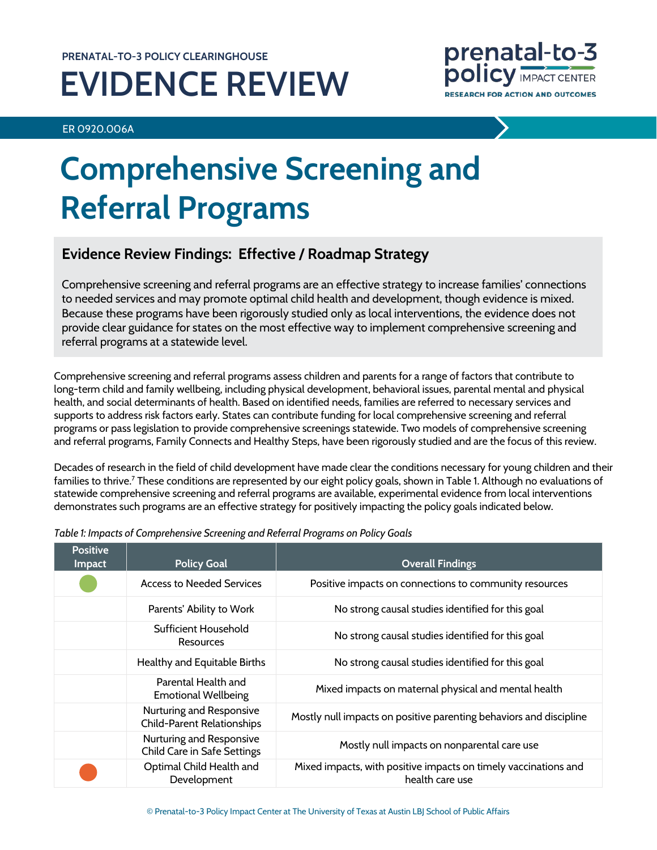# **PRENATAL-TO-3 POLICY CLEARINGHOUSE EVIDENCE REVIEW**

ER 0920.006A



# **Comprehensive Screening and Referral Programs**

# **Evidence Review Findings: Effective / Roadmap Strategy**

Comprehensive screening and referral programs are an effective strategy to increase families' connections to needed services and may promote optimal child health and development, though evidence is mixed. Because these programs have been rigorously studied only as local interventions, the evidence does not provide clear guidance for states on the most effective way to implement comprehensive screening and referral programs at a statewide level.

Comprehensive screening and referral programs assess children and parents for a range of factors that contribute to long-term child and family wellbeing, including physical development, behavioral issues, parental mental and physical health, and social determinants of health. Based on identified needs, families are referred to necessary services and supports to address risk factors early. States can contribute funding for local comprehensive screening and referral programs or pass legislation to provide comprehensive screenings statewide. Two models of comprehensive screening and referral programs, Family Connects and Healthy Steps, have been rigorously studied and are the focus of this review.

Decades of research in the field of child development have made clear the conditions necessary for young children and their families to thrive.<sup>7</sup> These conditions are represented by our eight policy goals, shown in Table 1. Although no evaluations of statewide comprehensive screening and referral programs are available, experimental evidence from local interventions demonstrates such programs are an effective strategy for positively impacting the policy goals indicated below.

| <b>Positive</b><br>Impact | <b>Policy Goal</b>                                             | <b>Overall Findings</b>                                                            |
|---------------------------|----------------------------------------------------------------|------------------------------------------------------------------------------------|
|                           | <b>Access to Needed Services</b>                               | Positive impacts on connections to community resources                             |
|                           | Parents' Ability to Work                                       | No strong causal studies identified for this goal                                  |
|                           | Sufficient Household<br>Resources                              | No strong causal studies identified for this goal                                  |
|                           | Healthy and Equitable Births                                   | No strong causal studies identified for this goal                                  |
|                           | Parental Health and<br><b>Emotional Wellbeing</b>              | Mixed impacts on maternal physical and mental health                               |
|                           | Nurturing and Responsive<br><b>Child-Parent Relationships</b>  | Mostly null impacts on positive parenting behaviors and discipline                 |
|                           | Nurturing and Responsive<br><b>Child Care in Safe Settings</b> | Mostly null impacts on nonparental care use                                        |
|                           | Optimal Child Health and<br>Development                        | Mixed impacts, with positive impacts on timely vaccinations and<br>health care use |

*Table 1: Impacts of Comprehensive Screening and Referral Programs on Policy Goals*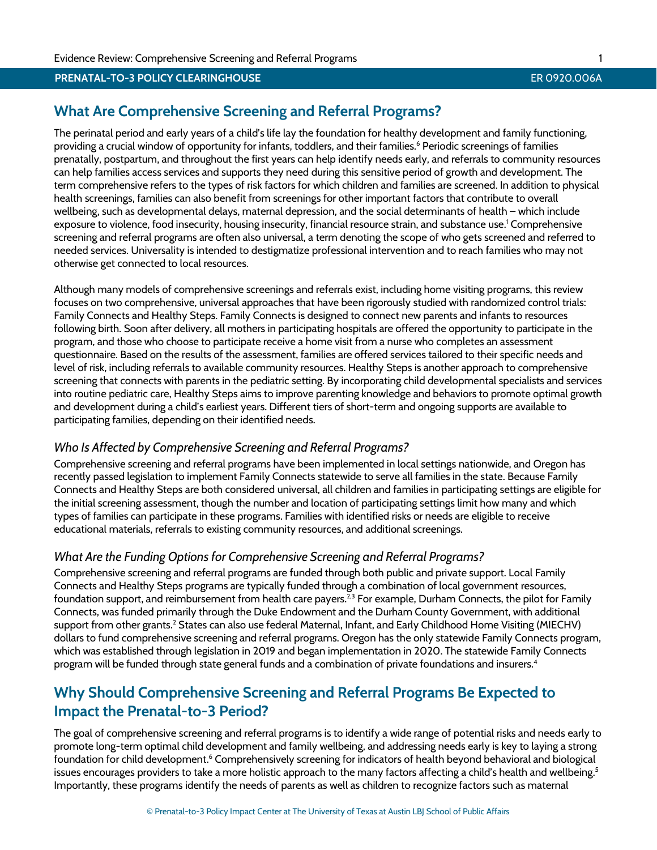# **What Are Comprehensive Screening and Referral Programs?**

The perinatal period and early years of a child's life lay the foundation for healthy development and family functioning, providing a crucial window of opportunity for infants, toddlers, and their families.<sup>6</sup> Periodic screenings of families prenatally, postpartum, and throughout the first years can help identify needs early, and referrals to community resources can help families access services and supports they need during this sensitive period of growth and development. The term comprehensive refers to the types of risk factors for which children and families are screened. In addition to physical health screenings, families can also benefit from screenings for other important factors that contribute to overall wellbeing, such as developmental delays, maternal depression, and the social determinants of health – which include exposure to violence, food insecurity, housing insecurity, financial resource strain, and substance use[.1](#page-8-0) Comprehensive screening and referral programs are often also universal, a term denoting the scope of who gets screened and referred to needed services. Universality is intended to destigmatize professional intervention and to reach families who may not otherwise get connected to local resources.

Although many models of comprehensive screenings and referrals exist, including home visiting programs, this review focuses on two comprehensive, universal approaches that have been rigorously studied with randomized control trials: Family Connects and Healthy Steps. Family Connects is designed to connect new parents and infants to resources following birth. Soon after delivery, all mothers in participating hospitals are offered the opportunity to participate in the program, and those who choose to participate receive a home visit from a nurse who completes an assessment questionnaire. Based on the results of the assessment, families are offered services tailored to their specific needs and level of risk, including referrals to available community resources. Healthy Steps is another approach to comprehensive screening that connects with parents in the pediatric setting. By incorporating child developmental specialists and services into routine pediatric care, Healthy Steps aims to improve parenting knowledge and behaviors to promote optimal growth and development during a child's earliest years. Different tiers of short-term and ongoing supports are available to participating families, depending on their identified needs.

# *Who Is Affected by Comprehensive Screening and Referral Programs?*

Comprehensive screening and referral programs have been implemented in local settings nationwide, and Oregon has recently passed legislation to implement Family Connects statewide to serve all families in the state. Because Family Connects and Healthy Steps are both considered universal, all children and families in participating settings are eligible for the initial screening assessment, though the number and location of participating settings limit how many and which types of families can participate in these programs. Families with identified risks or needs are eligible to receive educational materials, referrals to existing community resources, and additional screenings.

# *What Are the Funding Options for Comprehensive Screening and Referral Programs?*

Comprehensive screening and referral programs are funded through both public and private support. Local Family Connects and Healthy Steps programs are typically funded through a combination of local government resources, foundation support, and reimbursement from health care payers.<sup>2,[3](#page-8-2)</sup> For example, Durham Connects, the pilot for Family Connects, was funded primarily through the Duke Endowment and the Durham County Government, with additional support from other grants.<sup>2</sup> States can also use federal Maternal, Infant, and Early Childhood Home Visiting (MIECHV) dollars to fund comprehensive screening and referral programs. Oregon has the only statewide Family Connects program, which was established through legislation in 2019 and began implementation in 2020. The statewide Family Connects program will be funded through state general funds and a combination of private foundations and insurer[s.4](#page-8-3)

# **Why Should Comprehensive Screening and Referral Programs Be Expected to Impact the Prenatal-to-3 Period?**

The goal of comprehensive screening and referral programs is to identify a wide range of potential risks and needs early to promote long-term optimal child development and family wellbeing, and addressing needs early is key to laying a strong foundation for child development.<sup>6</sup> Comprehensively screening for indicators of health beyond behavioral and biological issues encourages providers to take a more holistic approach to the many factors affecting a child's health and wellbeing.<sup>5</sup> Importantly, these programs identify the needs of parents as well as children to recognize factors such as maternal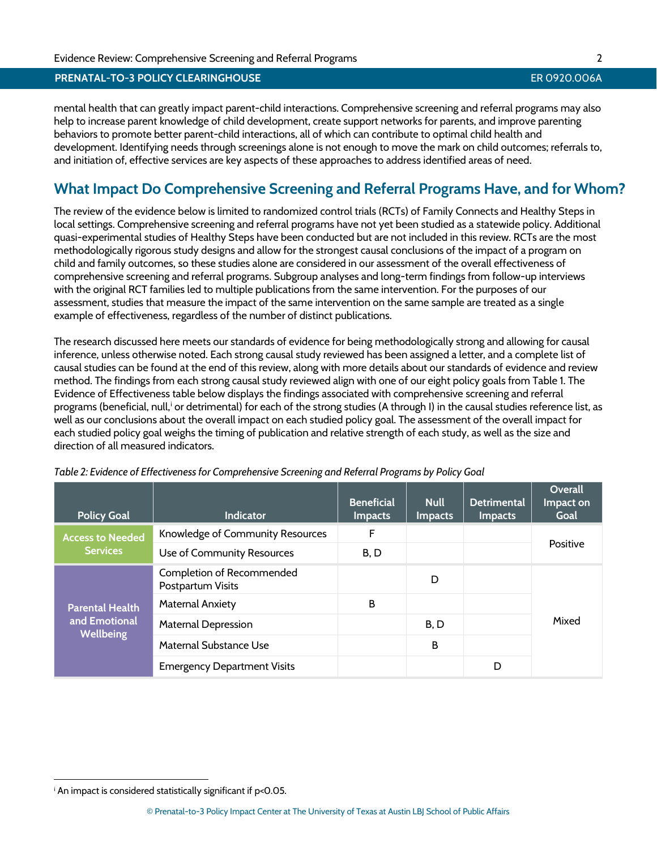mental health that can greatly impact parent-child interactions. Comprehensive screening and referral programs may also help to increase parent knowledge of child development, create support networks for parents, and improve parenting behaviors to promote better parent-child interactions, all of which can contribute to optimal child health and development. Identifying needs through screenings alone is not enough to move the mark on child outcomes; referrals to, and initiation of, effective services are key aspects of these approaches to address identified areas of need.

# **What Impact Do Comprehensive Screening and Referral Programs Have, and for Whom?**

The review of the evidence below is limited to randomized control trials (RCTs) of Family Connects and Healthy Steps in local settings. Comprehensive screening and referral programs have not yet been studied as a statewide policy. Additional quasi-experimental studies of Healthy Steps have been conducted but are not included in this review. RCTs are the most methodologically rigorous study designs and allow for the strongest causal conclusions of the impact of a program on child and family outcomes, so these studies alone are considered in our assessment of the overall effectiveness of comprehensive screening and referral programs. Subgroup analyses and long-term findings from follow-up interviews with the original RCT families led to multiple publications from the same intervention. For the purposes of our assessment, studies that measure the impact of the same intervention on the same sample are treated as a single example of effectiveness, regardless of the number of distinct publications.

The research discussed here meets our standards of evidence for being methodologically strong and allowing for causal inference, unless otherwise noted. Each strong causal study reviewed has been assigned a letter, and a complete list of causal studies can be found at the end of this review, along with more details about our standards of evidence and review method. The findings from each strong causal study reviewed align with one of our eight policy goals from Table 1. The Evidence of Effectiveness table below displays the findings associated with comprehensive screening and referral programs (benef[i](#page-2-0)cial, null,<sup>i</sup> or detrimental) for each of the strong studies (A through I) in the causal studies reference list, as well as our conclusions about the overall impact on each studied policy goal. The assessment of the overall impact for each studied policy goal weighs the timing of publication and relative strength of each study, as well as the size and direction of all measured indicators.

| <b>Policy Goal</b>                                          | <b>Indicator</b>                               | <b>Beneficial</b><br><b>Impacts</b> | <b>Null</b><br><b>Impacts</b> | <b>Detrimental</b><br><b>Impacts</b> | Overall<br>Impact on<br>Goal |  |
|-------------------------------------------------------------|------------------------------------------------|-------------------------------------|-------------------------------|--------------------------------------|------------------------------|--|
| <b>Access to Needed</b><br><b>Services</b>                  | Knowledge of Community Resources               | F                                   |                               |                                      |                              |  |
|                                                             | Use of Community Resources                     | B, D                                |                               |                                      | Positive                     |  |
| <b>Parental Health</b><br>and Emotional<br><b>Wellbeing</b> | Completion of Recommended<br>Postpartum Visits |                                     | D                             |                                      |                              |  |
|                                                             | <b>Maternal Anxiety</b>                        | B                                   |                               |                                      |                              |  |
|                                                             | Maternal Depression                            |                                     | B, D                          |                                      | Mixed                        |  |
|                                                             | Maternal Substance Use                         |                                     | B                             |                                      |                              |  |
|                                                             | <b>Emergency Department Visits</b>             |                                     |                               | D                                    |                              |  |

*Table 2: Evidence of Effectiveness for Comprehensive Screening and Referral Programs by Policy Goal*

<span id="page-2-0"></span>i An impact is considered statistically significant if p<0.05.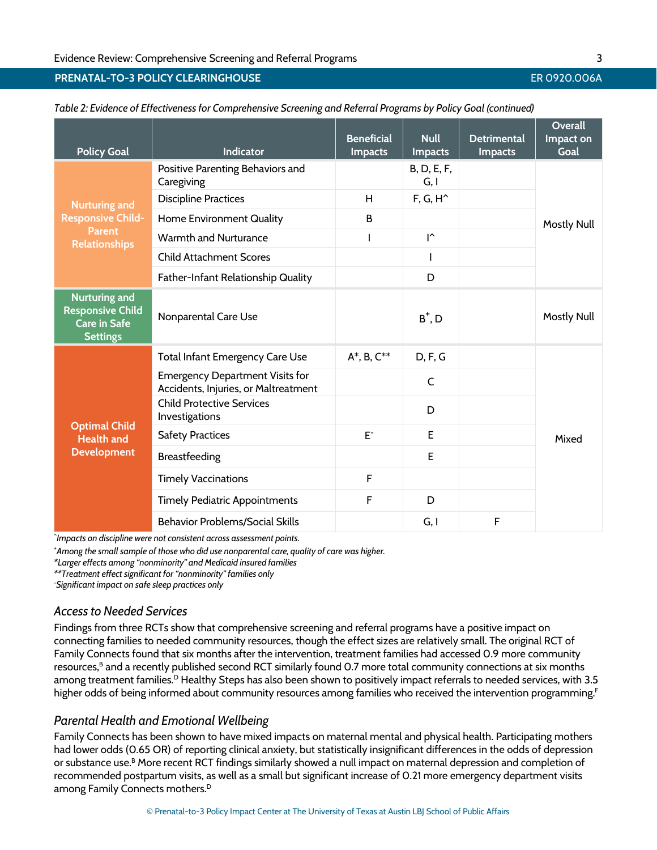| <b>Policy Goal</b>                                                                        | <b>Indicator</b>                                                               | <b>Beneficial</b><br><b>Impacts</b> | <b>Null</b><br><b>Impacts</b> | <b>Detrimental</b><br><b>Impacts</b> | Overall<br>Impact on<br>Goal |  |
|-------------------------------------------------------------------------------------------|--------------------------------------------------------------------------------|-------------------------------------|-------------------------------|--------------------------------------|------------------------------|--|
| <b>Nurturing and</b>                                                                      | Positive Parenting Behaviors and<br>Caregiving                                 |                                     | B, D, E, F,<br>G, I           |                                      |                              |  |
|                                                                                           | <b>Discipline Practices</b>                                                    | H                                   | $F, G, H^*$                   |                                      | <b>Mostly Null</b>           |  |
| <b>Responsive Child-</b>                                                                  | Home Environment Quality                                                       | B                                   |                               |                                      |                              |  |
| <b>Parent</b><br><b>Relationships</b>                                                     | Warmth and Nurturance                                                          |                                     | $\mathsf{I}^\wedge$           |                                      |                              |  |
|                                                                                           | <b>Child Attachment Scores</b>                                                 |                                     |                               |                                      |                              |  |
|                                                                                           | Father-Infant Relationship Quality                                             |                                     | D                             |                                      |                              |  |
| <b>Nurturing and</b><br><b>Responsive Child</b><br><b>Care in Safe</b><br><b>Settings</b> | Nonparental Care Use                                                           |                                     | $B^+$ , $D$                   |                                      | <b>Mostly Null</b>           |  |
|                                                                                           | Total Infant Emergency Care Use                                                | $A^*$ , B, $C^{**}$                 | D, F, G                       |                                      |                              |  |
| <b>Optimal Child</b><br><b>Health and</b><br><b>Development</b>                           | <b>Emergency Department Visits for</b><br>Accidents, Injuries, or Maltreatment |                                     | $\mathsf{C}$                  |                                      |                              |  |
|                                                                                           | <b>Child Protective Services</b><br>Investigations                             |                                     | D                             |                                      | Mixed                        |  |
|                                                                                           | <b>Safety Practices</b>                                                        | $E^-$                               | E                             |                                      |                              |  |
|                                                                                           | Breastfeeding                                                                  |                                     | E                             |                                      |                              |  |
|                                                                                           | <b>Timely Vaccinations</b>                                                     | F                                   |                               |                                      |                              |  |
|                                                                                           | <b>Timely Pediatric Appointments</b>                                           | F                                   | D                             |                                      |                              |  |
|                                                                                           | <b>Behavior Problems/Social Skills</b>                                         |                                     | G, I                          | F                                    |                              |  |

*Table 2: Evidence of Effectiveness for Comprehensive Screening and Referral Programs by Policy Goal (continued)*

*^ Impacts on discipline were not consistent across assessment points.*

*+ Among the small sample of those who did use nonparental care, quality of care was higher.*

*\*Larger effects among "nonminority" and Medicaid insured families*

*\*\*Treatment effect significant for "nonminority" families only*

*- Significant impact on safe sleep practices only*

# *Access to Needed Services*

Findings from three RCTs show that comprehensive screening and referral programs have a positive impact on connecting families to needed community resources, though the effect sizes are relatively small. The original RCT of Family Connects found that six months after the intervention, treatment families had accessed 0.9 more community resources,<sup>B</sup> and a recently published second RCT similarly found 0.7 more total community connections at six months among treatment families.<sup>D</sup> Healthy Steps has also been shown to positively impact referrals to needed services, with 3.5 higher odds of being informed about community resources among families who received the intervention programming. [F](#page-8-6)

# *Parental Health and Emotional Wellbeing*

Family Connects has been shown to have mixed impacts on maternal mental and physical health. Participating mothers had lower odds (0.65 OR) of reporting clinical anxiety, but statistically insignificant differences in the odds of depression or substance use.<sup>B</sup> More recent RCT findings similarly showed a null impact on maternal depression and completion of recommended postpartum visits, as well as a small but significant increase of 0.21 more emergency department visits among Family Connects mothers.<sup>D</sup>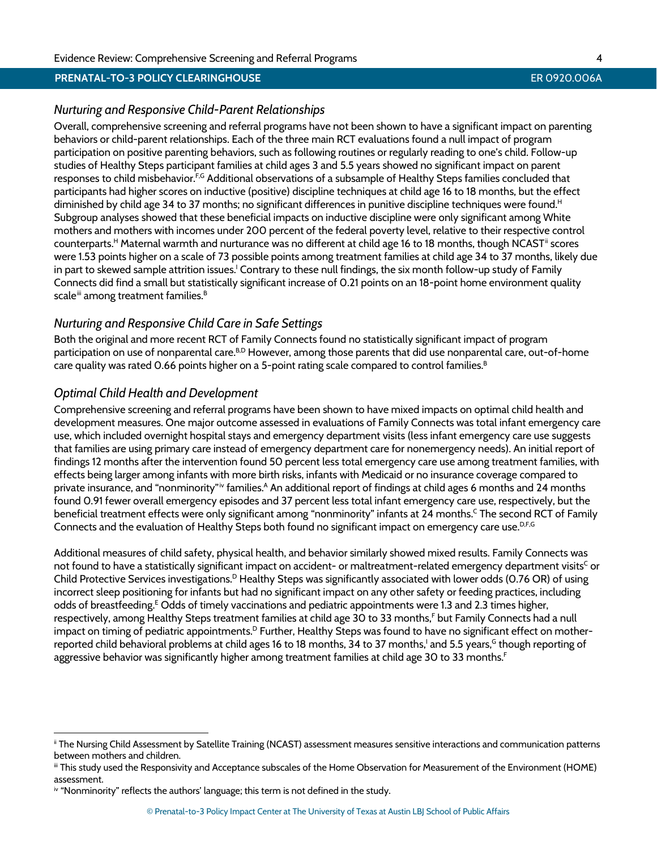# *Nurturing and Responsive Child-Parent Relationships*

Overall, comprehensive screening and referral programs have not been shown to have a significant impact on parenting behaviors or child-parent relationships. Each of the three main RCT evaluations found a null impact of program participation on positive parenting behaviors, such as following routines or regularly reading to one's child. Follow-up studies of Healthy Steps participant families at child ages 3 and 5.5 years showed no significant impact on parent responses to child misbehavior.<sup>F,[G](#page-8-7)</sup> Additional observations of a subsample of Healthy Steps families concluded that participants had higher scores on inductive (positive) discipline techniques at child age 16 to 18 months, but the effect diminished by child age 34 to 37 months; no significant differences in punitive discipline techniques were found.<sup>H</sup> Subgroup analyses showed that these beneficial impacts on inductive discipline were only significant among White mothers and mothers with incomes under 200 percent of the federal poverty level, relative to their respective control counterparts.<sup>H</sup> Maternal warmth and nurturance was no different at child age 16 to 18 months, though NCAST<sup>[ii](#page-4-0)</sup> scores were 1.53 points higher on a scale of 73 possible points among treatment families at child age 34 to 37 months, likely due in part to skewed sample attrition issues.<sup>1</sup> Contrary to these null findings, the six month follow-up study of Family Connects did find a small but statistically significant increase of 0.21 points on an 18-point home environment quality scale<sup>ii</sup> among treatment families.<sup>B</sup>

# *Nurturing and Responsive Child Care in Safe Settings*

Both the original and more recent RCT of Family Connects found no statistically significant impact of program participation on use of nonparental care.<sup>B,[D](#page-8-5)</sup> However, among those parents that did use nonparental care, out-of-home care quality was rated 0.66 points higher on a 5-point rating scale compared to control families.<sup>B</sup>

# *Optimal Child Health and Development*

Comprehensive screening and referral programs have been shown to have mixed impacts on optimal child health and development measures. One major outcome assessed in evaluations of Family Connects was total infant emergency care use, which included overnight hospital stays and emergency department visits (less infant emergency care use suggests that families are using primary care instead of emergency department care for nonemergency needs). An initial report of findings 12 months after the intervention found 50 percent less total emergency care use among treatment families, with effects being larger among infants with more birth risks, infants with Medicaid or no insurance coverage compared to pr[iv](#page-4-2)ate insurance, and "nonminority"<sup>iv</sup> families.<sup>A</sup> An additional report of findings at child ages 6 months and 24 months found 0.91 fewer overall emergency episodes and 37 percent less total infant emergency care use, respectively, but the beneficial treatment effects were only significant among "nonminority" infants at 24 months.<sup>C</sup> The second RCT of Family Connects and the evaluation of Healthy Steps both found no significant impact on emergency care use.<sup>D,[F,](#page-8-6)[G](#page-8-7)</sup>

Additional measures of child safety, physical health, and behavior similarly showed mixed results. Family Connects was not found to have a statistically significant impact on accident- or maltreatment-related emergency department visits<sup>c</sup> or Child Protective Services investigations.<sup>D</sup> Healthy Steps was significantly associated with lower odds (0.76 OR) of using incorrect sleep positioning for infants but had no significant impact on any other safety or feeding practices, including odds of breastfeeding.<sup>E</sup> Odds of timely vaccinations and pediatric appointments were 1.3 and 2.3 times higher, respectively, among Healthy Steps treatment families at child age 30 to 33 month[s,F](#page-8-6) but Family Connects had a null impact on timing of pediatric appointments.<sup>D</sup> Further, Healthy Steps was found to have no significant effect on motherreported child behavioral problems at child ages 16 to 18 months, 34 to 37 months,<sup>1</sup> and 5.5 years,<sup>G</sup> though reporting of aggressive behavior was significantly higher among treatment families at child age 30 to 33 months.<sup>F</sup>

<span id="page-4-0"></span>ii The Nursing Child Assessment by Satellite Training (NCAST) assessment measures sensitive interactions and communication patterns between mothers and children.

<span id="page-4-1"></span>iii This study used the Responsivity and Acceptance subscales of the Home Observation for Measurement of the Environment (HOME) assessment.

<span id="page-4-2"></span>iv "Nonminority" reflects the authors' language; this term is not defined in the study.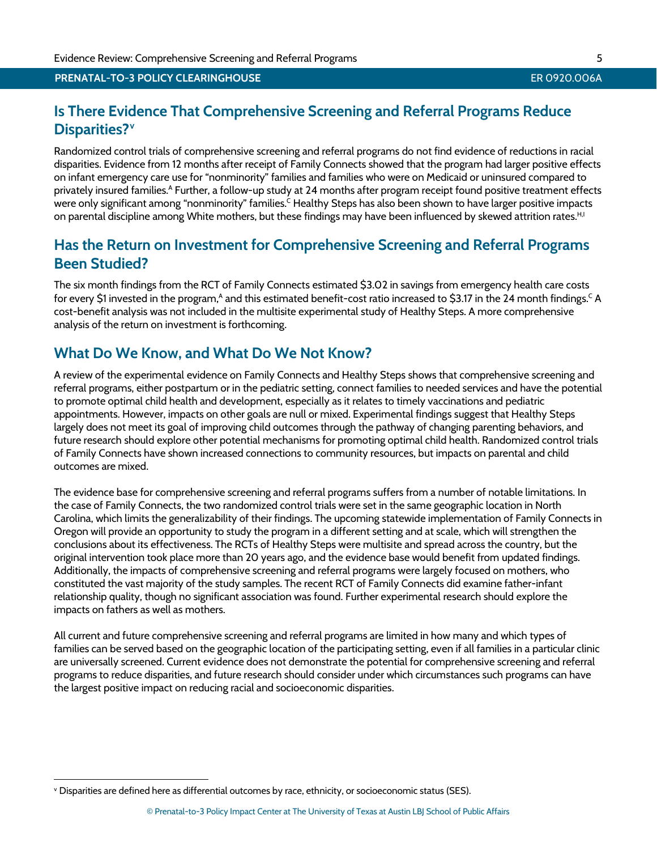# **Is There Evidence That Comprehensive Screening and Referral Programs Reduce Disparities?[v](#page-5-0)**

Randomized control trials of comprehensive screening and referral programs do not find evidence of reductions in racial disparities. Evidence from 12 months after receipt of Family Connects showed that the program had larger positive effects on infant emergency care use for "nonminority" families and families who were on Medicaid or uninsured compared to privately insured families.<sup>A</sup> Further, a follow-up study at 24 months after program receipt found positive treatment effects were only significant among "nonminority" families.<sup>C</sup> Healthy Steps has also been shown to have larger positive impacts on parental discipline among White mothers, but these findings may have been influenced by skewed attrition rates.<sup>H,[I](#page-8-9)</sup>

# **Has the Return on Investment for Comprehensive Screening and Referral Programs Been Studied?**

The six month findings from the RCT of Family Connects estimated \$3.02 in savings from emergency health care costs for every \$1 invested in the program,<sup>A</sup> and this estimated benefit-cost ratio increased to \$3.17 in the 24 month findings.<sup>C</sup> A cost-benefit analysis was not included in the multisite experimental study of Healthy Steps. A more comprehensive analysis of the return on investment is forthcoming.

# **What Do We Know, and What Do We Not Know?**

A review of the experimental evidence on Family Connects and Healthy Steps shows that comprehensive screening and referral programs, either postpartum or in the pediatric setting, connect families to needed services and have the potential to promote optimal child health and development, especially as it relates to timely vaccinations and pediatric appointments. However, impacts on other goals are null or mixed. Experimental findings suggest that Healthy Steps largely does not meet its goal of improving child outcomes through the pathway of changing parenting behaviors, and future research should explore other potential mechanisms for promoting optimal child health. Randomized control trials of Family Connects have shown increased connections to community resources, but impacts on parental and child outcomes are mixed.

The evidence base for comprehensive screening and referral programs suffers from a number of notable limitations. In the case of Family Connects, the two randomized control trials were set in the same geographic location in North Carolina, which limits the generalizability of their findings. The upcoming statewide implementation of Family Connects in Oregon will provide an opportunity to study the program in a different setting and at scale, which will strengthen the conclusions about its effectiveness. The RCTs of Healthy Steps were multisite and spread across the country, but the original intervention took place more than 20 years ago, and the evidence base would benefit from updated findings. Additionally, the impacts of comprehensive screening and referral programs were largely focused on mothers, who constituted the vast majority of the study samples. The recent RCT of Family Connects did examine father-infant relationship quality, though no significant association was found. Further experimental research should explore the impacts on fathers as well as mothers.

All current and future comprehensive screening and referral programs are limited in how many and which types of families can be served based on the geographic location of the participating setting, even if all families in a particular clinic are universally screened. Current evidence does not demonstrate the potential for comprehensive screening and referral programs to reduce disparities, and future research should consider under which circumstances such programs can have the largest positive impact on reducing racial and socioeconomic disparities.

<span id="page-5-0"></span>v Disparities are defined here as differential outcomes by race, ethnicity, or socioeconomic status (SES).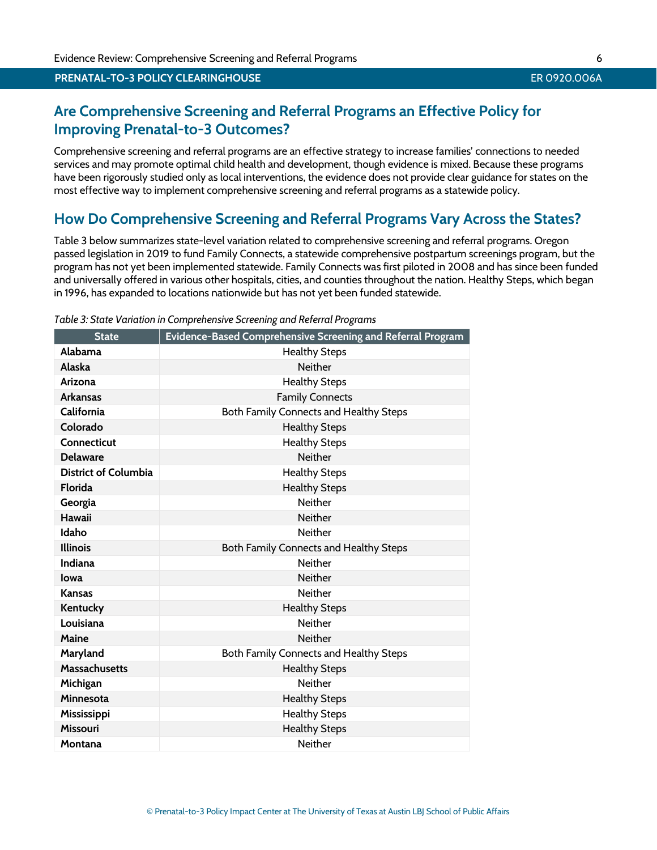#### © Prenatal-to-3 Policy Impact Center at The University of Texas at Austin LBJ School of Public Affairs

# **Are Comprehensive Screening and Referral Programs an Effective Policy for Improving Prenatal-to-3 Outcomes?**

Comprehensive screening and referral programs are an effective strategy to increase families' connections to needed services and may promote optimal child health and development, though evidence is mixed. Because these programs have been rigorously studied only as local interventions, the evidence does not provide clear guidance for states on the most effective way to implement comprehensive screening and referral programs as a statewide policy.

# **How Do Comprehensive Screening and Referral Programs Vary Across the States?**

Table 3 below summarizes state-level variation related to comprehensive screening and referral programs. Oregon passed legislation in 2019 to fund Family Connects, a statewide comprehensive postpartum screenings program, but the program has not yet been implemented statewide. Family Connects was first piloted in 2008 and has since been funded and universally offered in various other hospitals, cities, and counties throughout the nation. Healthy Steps, which began in 1996, has expanded to locations nationwide but has not yet been funded statewide.

|                             | 3. State vanation in complementies Sercening and Referration $\zeta$ |
|-----------------------------|----------------------------------------------------------------------|
| <b>State</b>                | Evidence-Based Comprehensive Screening and Referral Program          |
| Alabama                     | <b>Healthy Steps</b>                                                 |
| Alaska                      | <b>Neither</b>                                                       |
| Arizona                     | <b>Healthy Steps</b>                                                 |
| <b>Arkansas</b>             | <b>Family Connects</b>                                               |
| California                  | Both Family Connects and Healthy Steps                               |
| Colorado                    | <b>Healthy Steps</b>                                                 |
| <b>Connecticut</b>          | <b>Healthy Steps</b>                                                 |
| <b>Delaware</b>             | <b>Neither</b>                                                       |
| <b>District of Columbia</b> | <b>Healthy Steps</b>                                                 |
| <b>Florida</b>              | <b>Healthy Steps</b>                                                 |
| Georgia                     | <b>Neither</b>                                                       |
| <b>Hawaii</b>               | <b>Neither</b>                                                       |
| Idaho                       | <b>Neither</b>                                                       |
| <b>Illinois</b>             | Both Family Connects and Healthy Steps                               |
| <b>Indiana</b>              | <b>Neither</b>                                                       |
| lowa                        | <b>Neither</b>                                                       |
| <b>Kansas</b>               | <b>Neither</b>                                                       |
| Kentucky                    | <b>Healthy Steps</b>                                                 |
| Louisiana                   | <b>Neither</b>                                                       |
| Maine                       | <b>Neither</b>                                                       |
| Maryland                    | Both Family Connects and Healthy Steps                               |
| <b>Massachusetts</b>        | <b>Healthy Steps</b>                                                 |
| Michigan                    | <b>Neither</b>                                                       |
| Minnesota                   | <b>Healthy Steps</b>                                                 |
| Mississippi                 | <b>Healthy Steps</b>                                                 |
| <b>Missouri</b>             | <b>Healthy Steps</b>                                                 |
| Montana                     | <b>Neither</b>                                                       |

### *Table 3: State Variation in Comprehensive Screening and Referral Programs*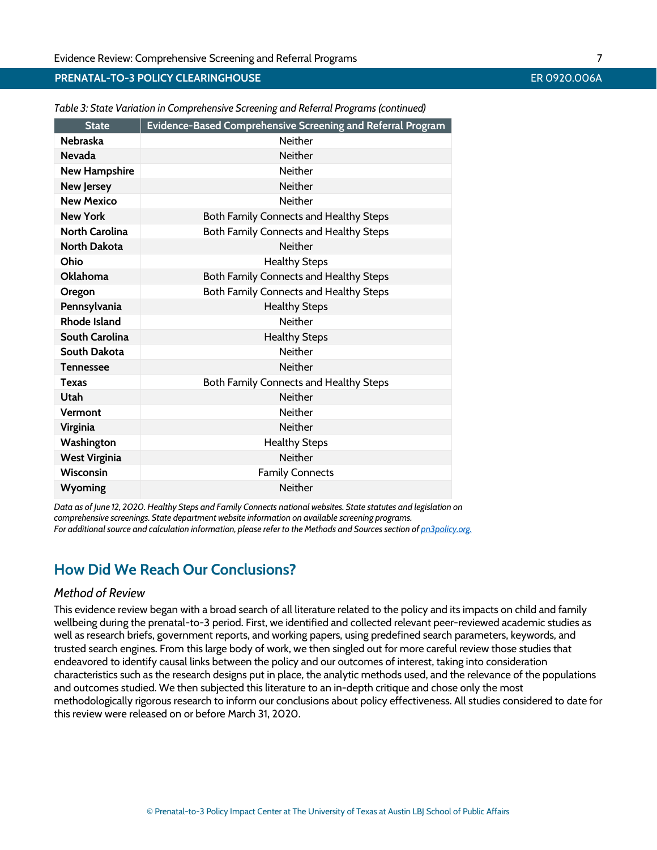# **PRENATAL-TO-3 POLICY CLEARINGHOUSE** EXECUTIVE TO THE RESERVED OF THE RESERVED OF THE RESERVED OF THE RESERVED OF THE RESERVED OF THE RESERVED OF THE RESERVED OF THE RESERVED OF THE RESERVED OF THE RESERVED OF THE RESERVED

| <b>State</b>          | <b>Evidence-Based Comprehensive Screening and Referral Program</b> |  |
|-----------------------|--------------------------------------------------------------------|--|
| <b>Nebraska</b>       | <b>Neither</b>                                                     |  |
| <b>Nevada</b>         | <b>Neither</b>                                                     |  |
| <b>New Hampshire</b>  | <b>Neither</b>                                                     |  |
| <b>New Jersey</b>     | <b>Neither</b>                                                     |  |
| <b>New Mexico</b>     | <b>Neither</b>                                                     |  |
| <b>New York</b>       | Both Family Connects and Healthy Steps                             |  |
| <b>North Carolina</b> | Both Family Connects and Healthy Steps                             |  |
| <b>North Dakota</b>   | <b>Neither</b>                                                     |  |
| Ohio                  | <b>Healthy Steps</b>                                               |  |
| Oklahoma              | Both Family Connects and Healthy Steps                             |  |
| Oregon                | Both Family Connects and Healthy Steps                             |  |
| Pennsylvania          | <b>Healthy Steps</b>                                               |  |
| <b>Rhode Island</b>   | <b>Neither</b>                                                     |  |
| South Carolina        | <b>Healthy Steps</b>                                               |  |
| South Dakota          | <b>Neither</b>                                                     |  |
| <b>Tennessee</b>      | <b>Neither</b>                                                     |  |
| <b>Texas</b>          | Both Family Connects and Healthy Steps                             |  |
| Utah                  | <b>Neither</b>                                                     |  |
| Vermont               | <b>Neither</b>                                                     |  |
| Virginia              | <b>Neither</b>                                                     |  |
| Washington            | <b>Healthy Steps</b>                                               |  |
| <b>West Virginia</b>  | <b>Neither</b>                                                     |  |
| <b>Wisconsin</b>      | <b>Family Connects</b>                                             |  |
| Wyoming               | Neither                                                            |  |

*Table 3: State Variation in Comprehensive Screening and Referral Programs (continued)*

*Data as of June 12, 2020. Healthy Steps and Family Connects national websites. State statutes and legislation on comprehensive screenings. State department website information on available screening programs. For additional source and calculation information, please refer to the Methods and Sources section o[f pn3policy.org.](http://pn3policy.org/)*

# **How Did We Reach Our Conclusions?**

# *Method of Review*

This evidence review began with a broad search of all literature related to the policy and its impacts on child and family wellbeing during the prenatal-to-3 period. First, we identified and collected relevant peer-reviewed academic studies as well as research briefs, government reports, and working papers, using predefined search parameters, keywords, and trusted search engines. From this large body of work, we then singled out for more careful review those studies that endeavored to identify causal links between the policy and our outcomes of interest, taking into consideration characteristics such as the research designs put in place, the analytic methods used, and the relevance of the populations and outcomes studied. We then subjected this literature to an in-depth critique and chose only the most methodologically rigorous research to inform our conclusions about policy effectiveness. All studies considered to date for this review were released on or before March 31, 2020.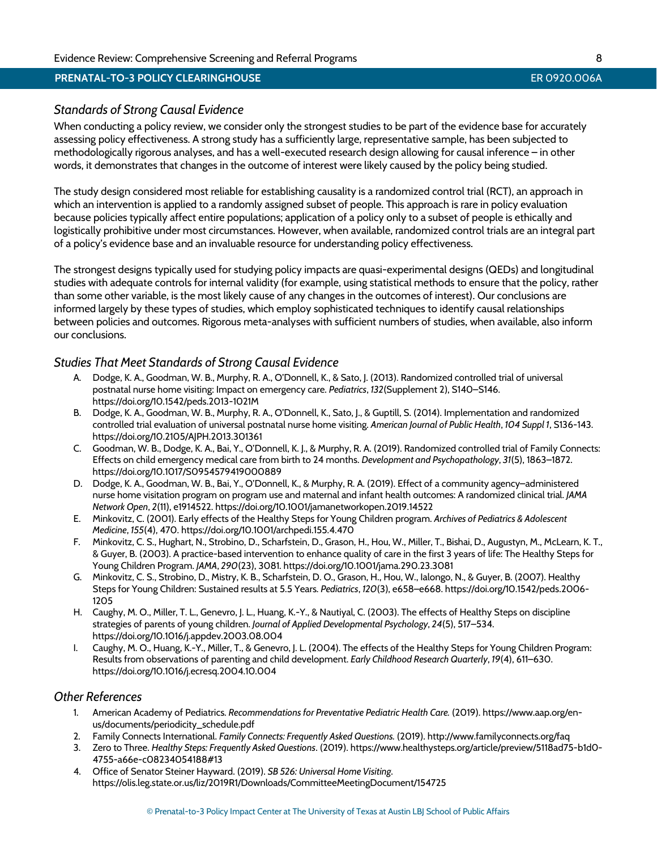# *Standards of Strong Causal Evidence*

When conducting a policy review, we consider only the strongest studies to be part of the evidence base for accurately assessing policy effectiveness. A strong study has a sufficiently large, representative sample, has been subjected to methodologically rigorous analyses, and has a well-executed research design allowing for causal inference – in other words, it demonstrates that changes in the outcome of interest were likely caused by the policy being studied.

The study design considered most reliable for establishing causality is a randomized control trial (RCT), an approach in which an intervention is applied to a randomly assigned subset of people. This approach is rare in policy evaluation because policies typically affect entire populations; application of a policy only to a subset of people is ethically and logistically prohibitive under most circumstances. However, when available, randomized control trials are an integral part of a policy's evidence base and an invaluable resource for understanding policy effectiveness.

The strongest designs typically used for studying policy impacts are quasi-experimental designs (QEDs) and longitudinal studies with adequate controls for internal validity (for example, using statistical methods to ensure that the policy, rather than some other variable, is the most likely cause of any changes in the outcomes of interest). Our conclusions are informed largely by these types of studies, which employ sophisticated techniques to identify causal relationships between policies and outcomes. Rigorous meta-analyses with sufficient numbers of studies, when available, also inform our conclusions.

# <span id="page-8-10"></span>*Studies That Meet Standards of Strong Causal Evidence*

- A. Dodge, K. A., Goodman, W. B., Murphy, R. A., O'Donnell, K., & Sato, J. (2013). Randomized controlled trial of universal postnatal nurse home visiting: Impact on emergency care. *Pediatrics*, *132*(Supplement 2), S140–S146. <https://doi.org/10.1542/peds.2013-1021M>
- <span id="page-8-4"></span>B. Dodge, K. A., Goodman, W. B., Murphy, R. A., O'Donnell, K., Sato, J., & Guptill, S. (2014). Implementation and randomized controlled trial evaluation of universal postnatal nurse home visiting. *American Journal of Public Health*, *104 Suppl 1*, S136-143. <https://doi.org/10.2105/AJPH.2013.301361>
- <span id="page-8-11"></span>C. Goodman, W. B., Dodge, K. A., Bai, Y., O'Donnell, K. J., & Murphy, R. A. (2019). Randomized controlled trial of Family Connects: Effects on child emergency medical care from birth to 24 months. *Development and Psychopathology*, *31*(5), 1863–1872. <https://doi.org/10.1017/S0954579419000889>
- <span id="page-8-5"></span>D. Dodge, K. A., Goodman, W. B., Bai, Y., O'Donnell, K., & Murphy, R. A. (2019). Effect of a community agency–administered nurse home visitation program on program use and maternal and infant health outcomes: A randomized clinical trial. *JAMA Network Open*, *2*(11), e1914522.<https://doi.org/10.1001/jamanetworkopen.2019.14522>
- <span id="page-8-12"></span>E. Minkovitz, C. (2001). Early effects of the Healthy Steps for Young Children program. *Archives of Pediatrics & Adolescent Medicine*, *155*(4), 470.<https://doi.org/10.1001/archpedi.155.4.470>
- <span id="page-8-6"></span>F. Minkovitz, C. S., Hughart, N., Strobino, D., Scharfstein, D., Grason, H., Hou, W., Miller, T., Bishai, D., Augustyn, M., McLearn, K. T., & Guyer, B. (2003). A practice-based intervention to enhance quality of care in the first 3 years of life: The Healthy Steps for Young Children Program. *JAMA*, *290*(23), 3081[. https://doi.org/10.1001/jama.290.23.3081](https://doi.org/10.1001/jama.290.23.3081)
- <span id="page-8-7"></span>G. Minkovitz, C. S., Strobino, D., Mistry, K. B., Scharfstein, D. O., Grason, H., Hou, W., Ialongo, N., & Guyer, B. (2007). Healthy Steps for Young Children: Sustained results at 5.5 Years. *Pediatrics*, *120*(3), e658–e668. [https://doi.org/10.1542/peds.2006-](https://doi.org/10.1542/peds.2006-1205) [1205](https://doi.org/10.1542/peds.2006-1205)
- <span id="page-8-8"></span>H. Caughy, M. O., Miller, T. L., Genevro, J. L., Huang, K.-Y., & Nautiyal, C. (2003). The effects of Healthy Steps on discipline strategies of parents of young children. *Journal of Applied Developmental Psychology*, *24*(5), 517–534. <https://doi.org/10.1016/j.appdev.2003.08.004>
- <span id="page-8-9"></span>I. Caughy, M. O., Huang, K.-Y., Miller, T., & Genevro, J. L. (2004). The effects of the Healthy Steps for Young Children Program: Results from observations of parenting and child development. *Early Childhood Research Quarterly*, *19*(4), 611–630. <https://doi.org/10.1016/j.ecresq.2004.10.004>

# <span id="page-8-0"></span>*Other References*

- 1. American Academy of Pediatrics. *Recommendations for Preventative Pediatric Health Care.* (2019). [https://www.aap.org/en](https://www.aap.org/en-us/documents/periodicity_schedule.pdf)[us/documents/periodicity\\_schedule.pdf](https://www.aap.org/en-us/documents/periodicity_schedule.pdf)
- <span id="page-8-1"></span>2. Family Connects International. *Family Connects: Frequently Asked Questions.* (2019)[. http://www.familyconnects.org/faq](http://www.familyconnects.org/faq)
- <span id="page-8-2"></span>3. Zero to Three. *Healthy Steps: Frequently Asked Questions*. (2019). https://www.healthysteps.org/article/preview/5118ad75-b1d0- 4755-a66e-c08234054188#13
- <span id="page-8-3"></span>4. Office of Senator Steiner Hayward. (2019). *SB 526: Universal Home Visiting*. <https://olis.leg.state.or.us/liz/2019R1/Downloads/CommitteeMeetingDocument/154725>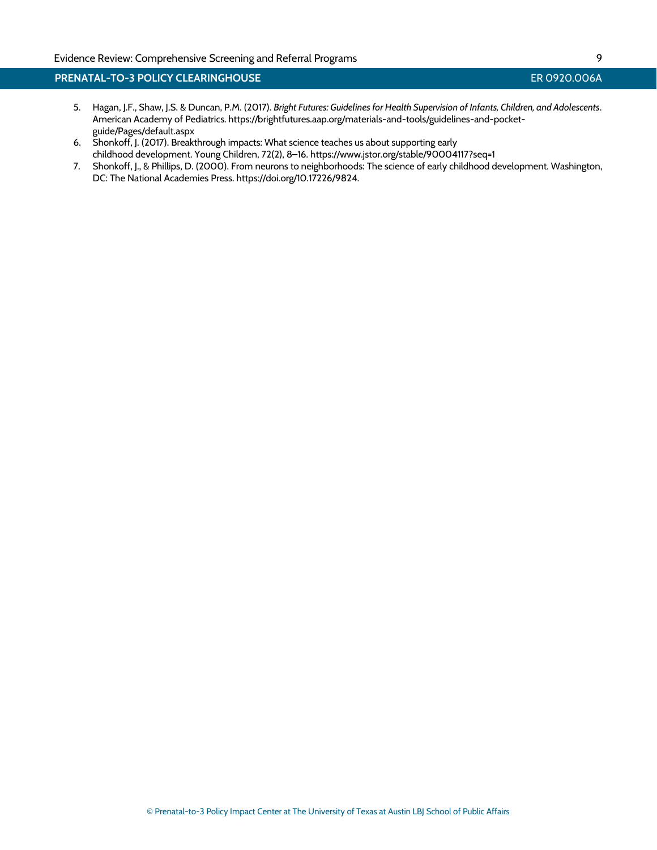# **PRENATAL-TO-3 POLICY CLEARINGHOUSE** ERGY CONTROLLER CONTROLLER OP 20.006A

- <span id="page-9-2"></span>5. Hagan, J.F., Shaw, J.S. & Duncan, P.M. (2017). *Bright Futures: Guidelines for Health Supervision of Infants, Children, and Adolescents*. American Academy of Pediatrics[. https://brightfutures.aap.org/materials-and-tools/guidelines-and-pocket](https://brightfutures.aap.org/materials-and-tools/guidelines-and-pocket-guide/Pages/default.aspx)[guide/Pages/default.aspx](https://brightfutures.aap.org/materials-and-tools/guidelines-and-pocket-guide/Pages/default.aspx)
- <span id="page-9-1"></span>6. Shonkoff, J. (2017). Breakthrough impacts: What science teaches us about supporting early childhood development. Young Children, 72(2), 8–16. <https://www.jstor.org/stable/90004117?seq=1>
- <span id="page-9-0"></span>7. Shonkoff, J., & Phillips, D. (2000). From neurons to neighborhoods: The science of early childhood development. Washington, DC: The National Academies Press. https://doi.org/10.17226/9824.